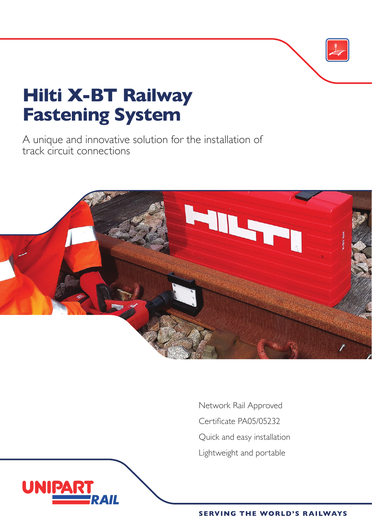## **Hilti X-BT Railway Fastening System**

**UNIPA** 

A unique and innovative solution for the installation of track circuit connections



Network Rail Approved Certificate PA05/05232 Quick and easy installation Lightweight and portable